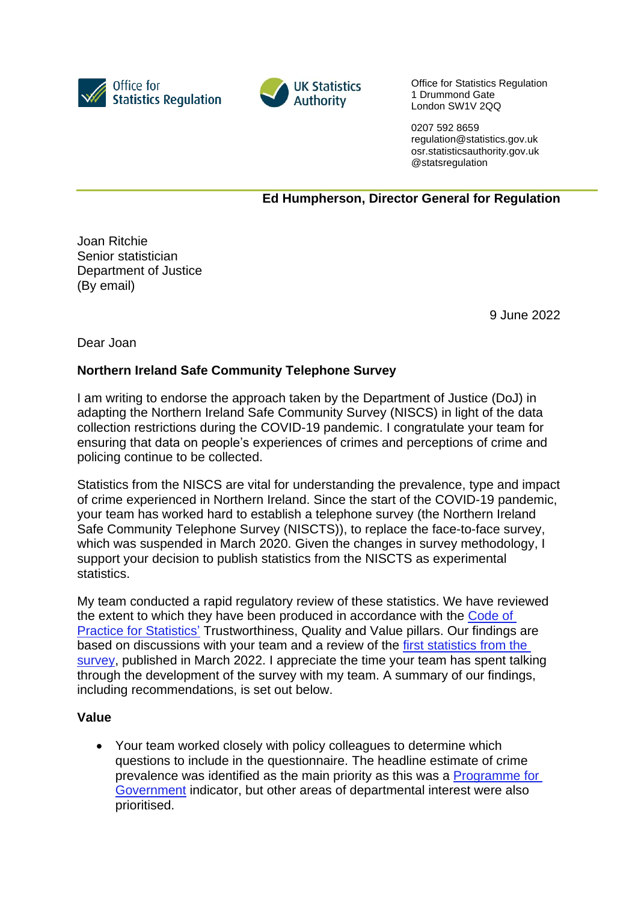



Office for Statistics Regulation 1 Drummond Gate London SW1V 2QQ

0207 592 8659 regulation@statistics.gov.uk osr.statisticsauthority.gov.uk @statsregulation

# **Ed Humpherson, Director General for Regulation**

Joan Ritchie Senior statistician Department of Justice (By email)

9 June 2022

Dear Joan

# **Northern Ireland Safe Community Telephone Survey**

I am writing to endorse the approach taken by the Department of Justice (DoJ) in adapting the Northern Ireland Safe Community Survey (NISCS) in light of the data collection restrictions during the COVID-19 pandemic. I congratulate your team for ensuring that data on people's experiences of crimes and perceptions of crime and policing continue to be collected.

Statistics from the NISCS are vital for understanding the prevalence, type and impact of crime experienced in Northern Ireland. Since the start of the COVID-19 pandemic, your team has worked hard to establish a telephone survey (the Northern Ireland Safe Community Telephone Survey (NISCTS)), to replace the face-to-face survey, which was suspended in March 2020. Given the changes in survey methodology, I support your decision to publish statistics from the NISCTS as experimental statistics.

My team conducted a rapid regulatory review of these statistics. We have reviewed the extent to which they have been produced in accordance with the [Code of](https://code.statisticsauthority.gov.uk/)  [Practice for Statistics'](https://code.statisticsauthority.gov.uk/) Trustworthiness, Quality and Value pillars. Our findings are based on discussions with your team and a review of the first [statistics from the](https://www.justice-ni.gov.uk/publications/findings-202021-northern-ireland-safe-community-telephone-survey)  [survey,](https://www.justice-ni.gov.uk/publications/findings-202021-northern-ireland-safe-community-telephone-survey) published in March 2022. I appreciate the time your team has spent talking through the development of the survey with my team. A summary of our findings, including recommendations, is set out below.

### **Value**

• Your team worked closely with policy colleagues to determine which questions to include in the questionnaire. The headline estimate of crime prevalence was identified as the main priority as this was a [Programme for](https://www.nisra.gov.uk/statistics/programme-government)  [Government](https://www.nisra.gov.uk/statistics/programme-government) indicator, but other areas of departmental interest were also prioritised.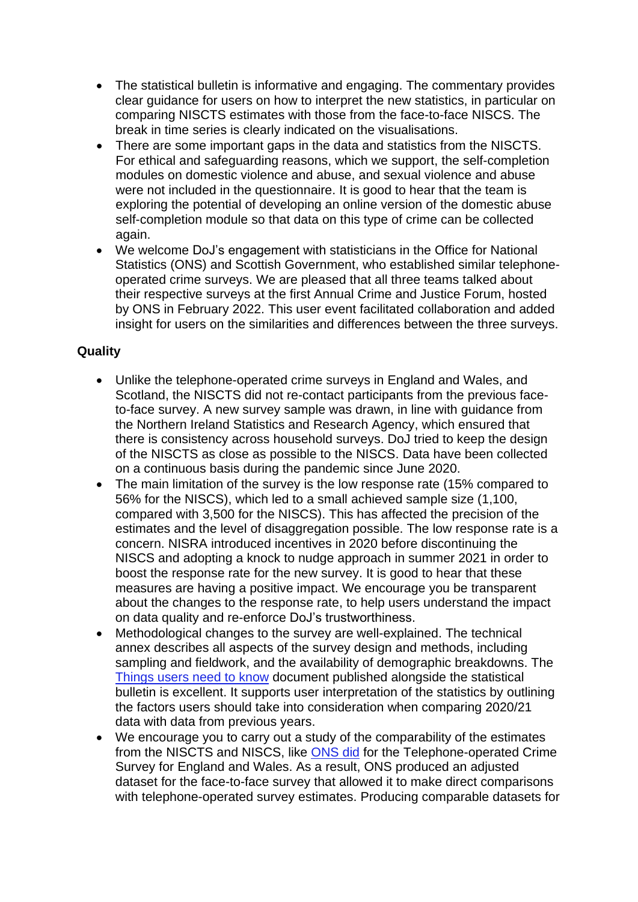- The statistical bulletin is informative and engaging. The commentary provides clear guidance for users on how to interpret the new statistics, in particular on comparing NISCTS estimates with those from the face-to-face NISCS. The break in time series is clearly indicated on the visualisations.
- There are some important gaps in the data and statistics from the NISCTS. For ethical and safeguarding reasons, which we support, the self-completion modules on domestic violence and abuse, and sexual violence and abuse were not included in the questionnaire. It is good to hear that the team is exploring the potential of developing an online version of the domestic abuse self-completion module so that data on this type of crime can be collected again.
- We welcome DoJ's engagement with statisticians in the Office for National Statistics (ONS) and Scottish Government, who established similar telephoneoperated crime surveys. We are pleased that all three teams talked about their respective surveys at the first Annual Crime and Justice Forum, hosted by ONS in February 2022. This user event facilitated collaboration and added insight for users on the similarities and differences between the three surveys.

# **Quality**

- Unlike the telephone-operated crime surveys in England and Wales, and Scotland, the NISCTS did not re-contact participants from the previous faceto-face survey. A new survey sample was drawn, in line with guidance from the Northern Ireland Statistics and Research Agency, which ensured that there is consistency across household surveys. DoJ tried to keep the design of the NISCTS as close as possible to the NISCS. Data have been collected on a continuous basis during the pandemic since June 2020.
- The main limitation of the survey is the low response rate (15% compared to 56% for the NISCS), which led to a small achieved sample size (1,100, compared with 3,500 for the NISCS). This has affected the precision of the estimates and the level of disaggregation possible. The low response rate is a concern. NISRA introduced incentives in 2020 before discontinuing the NISCS and adopting a knock to nudge approach in summer 2021 in order to boost the response rate for the new survey. It is good to hear that these measures are having a positive impact. We encourage you be transparent about the changes to the response rate, to help users understand the impact on data quality and re-enforce DoJ's trustworthiness.
- Methodological changes to the survey are well-explained. The technical annex describes all aspects of the survey design and methods, including sampling and fieldwork, and the availability of demographic breakdowns. The [Things users need to know](https://www.justice-ni.gov.uk/sites/default/files/publications/justice/niscts%2020-21%20-%20things%20users%20need%20to%20know.pdf) document published alongside the statistical bulletin is excellent. It supports user interpretation of the statistics by outlining the factors users should take into consideration when comparing 2020/21 data with data from previous years.
- We encourage you to carry out a study of the comparability of the estimates from the NISCTS and NISCS, like [ONS did](https://www.ons.gov.uk/peoplepopulationandcommunity/crimeandjustice/methodologies/comparabilitybetweenthetelephoneoperatedcrimesurveyforenglandandwalesandthefacetofacecrimesurveyforenglandandwales) for the Telephone-operated Crime Survey for England and Wales. As a result, ONS produced an adjusted dataset for the face-to-face survey that allowed it to make direct comparisons with telephone-operated survey estimates. Producing comparable datasets for